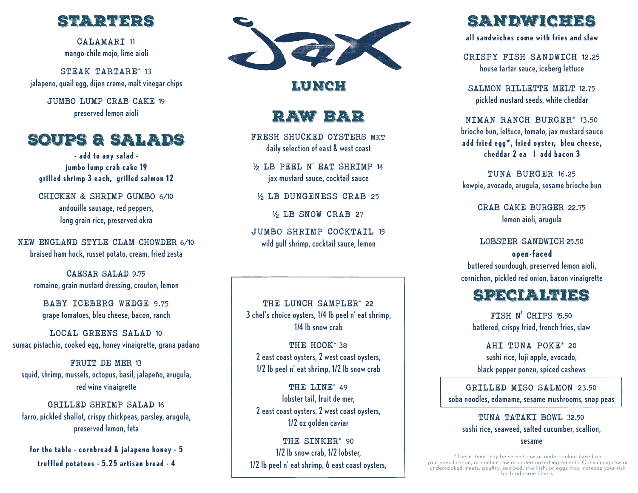

CALAMARI 11 mango-chile mojo, lime aioli

STEAK TARTARE\* 13 jalapeno, quail egg, dijon creme, malt vinegar chips

> JUMBO LUMP CRAB CAKE 19 preserved lemon aioli

## SOUPS & SALADS

**- add to any salad jumbo lump crab cake 19 grilled shrimp 3 each, grilled salmon 12**

CHICKEN & SHRIMP GUMBO 6/10 andouille sausage, red peppers, long grain rice, preserved okra

NEW ENGLAND STYLE CLAM CHOWDER 6/10 braised ham hock, russet potato, cream, fried zesta

CAESAR SALAD 9.75 romaine, grain mustard dressing, crouton, lemon

BABY ICEBERG WEDGE 9.75 grape tomatoes, bleu cheese, bacon, ranch

LOCAL GREENS SALAD 10 sumac pistachio, cooked egg, honey vinaigrette, grana padano

FRUIT DE MER 13 squid, shrimp, mussels, octopus, basil, jalapeño, arugula, red wine vinaigrette

GRILLED SHRIMP SALAD 16 farro, pickled shallot, crispy chickpeas, parsley, arugula, preserved lemon, feta

**for the table - cornbread & jalapeno honey - 5 truffled potatoes - 5.25 artisan bread - 4**



### **LUNCH**

## RAW BAR

FRESH SHUCKED OYSTERS MKT daily selection of east & west coast

½ LB PEEL N' EAT SHRIMP 14 jax mustard sauce, cocktail sauce

½ LB DUNGENESS CRAB 25

½ LB SNOW CRAB 27

JUMBO SHRIMP COCKTAIL 15 wild gulf shrimp, cocktail sauce, lemon

THE LUNCH SAMPLER\* 22 3 chef's choice oysters, 1/4 lb peel n' eat shrimp, 1/4 lb snow crab

THE HOOK<sup>\*</sup> 38 2 east coast oysters, 2 west coast oysters, 1/2 lb peel n' eat shrimp, 1/2 lb snow crab

THE LINE\* 49 lobster tail, fruit de mer, 2 east coast oysters, 2 west coast oysters, 1/2 oz golden caviar

THE SINKER\* 90 1/2 lb snow crab, 1/2 lobster, 1/2 lb peel n' eat shrimp, 6 east coast oysters,

# SANDWICHES

**all sandwiches come with fries and slaw**

CRISPY FISH SANDWICH 12.25 house tartar sauce, iceberg lettuce

SALMON RILLETTE MELT 12.75 pickled mustard seeds, white cheddar

NIMAN RANCH BURGER\* 13.50 brioche bun, lettuce, tomato, jax mustard sauce **add fried egg\*, fried oyster, bleu cheese, cheddar 2 ea I add bacon 3**

TUNA BURGER 16.25 kewpie, avocado, arugula, sesame brioche bun

> CRAB CAKE BURGER 22.75 lemon aioli, arugula

LOBSTER SANDWICH 25.50 **open-faced**

buttered sourdough, preserved lemon aioli, cornichon, pickled red onion, bacon vinaigrette

## SPECIAL FLUISS

FISH N' CHIPS 15.50 battered, crispy fried, french fries, slaw

AHI TUNA POKE\* 20 sushi rice, fuji apple, avocado, black pepper ponzu, spiced cashews

GRILLED MISO SALMON 23.50 soba noodles, edamame, sesame mushrooms, snap peas

TUNA TATAKI BOWL 32.50 sushi rice, seaweed, salted cucumber, scallion,

sesame

\*These items may be ser ved raw or undercooked based on your specification, or contain raw or undercooked ingredients. Consuming raw or undercooked meats, poultry, seafood, shellfish, or eggs may increase your risk for foodborne illness.